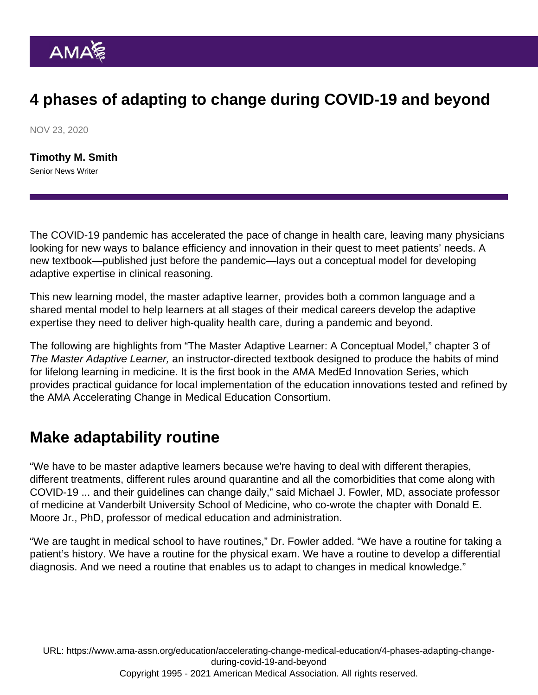## 4 phases of adapting to change during COVID-19 and beyond

NOV 23, 2020

[Timothy M. Smith](https://www.ama-assn.org/news-leadership-viewpoints/authors-news-leadership-viewpoints/timothy-m-smith) Senior News Writer

The COVID-19 pandemic has accelerated the pace of change in health care, leaving many physicians looking for new ways to balance efficiency and innovation in their quest to meet patients' needs. A new textbook—published just before the pandemic—lays out a conceptual model for developing adaptive expertise in clinical reasoning.

This new learning model, the master adaptive learner, provides both a common language and a shared mental model to help learners at all stages of their medical careers develop the adaptive expertise they need to deliver high-quality health care, during a pandemic and beyond.

The following are highlights from "The Master Adaptive Learner: A Conceptual Model," chapter 3 of [The Master Adaptive Learner](https://commerce.ama-assn.org/store/ui/catalog/productDetail?product_id=prod3080120&sku_id=sku3100032), an instructor-directed textbook designed to produce the habits of mind for lifelong learning in medicine. It is the first book in the AMA MedEd Innovation Series, which provides practical guidance for local implementation of the education innovations tested and refined by the [AMA Accelerating Change in Medical Education Consortium](https://www.ama-assn.org/education/accelerating-change-medical-education).

## Make adaptability routine

"We have to be master adaptive learners because we're having to deal with different therapies, different treatments, different rules around quarantine and all the comorbidities that come along with COVID-19 ... and their guidelines can change daily," said Michael J. Fowler, MD, associate professor of medicine at Vanderbilt University School of Medicine, who co-wrote the chapter with Donald E. Moore Jr., PhD, professor of medical education and administration.

"We are taught in medical school to have routines," Dr. Fowler added. "We have a routine for taking a patient's history. We have a routine for the physical exam. We have a routine to develop a differential diagnosis. And we need a routine that enables us to adapt to changes in medical knowledge."

URL: [https://www.ama-assn.org/education/accelerating-change-medical-education/4-phases-adapting-change](https://www.ama-assn.org/education/accelerating-change-medical-education/4-phases-adapting-change-during-covid-19-and-beyond)[during-covid-19-and-beyond](https://www.ama-assn.org/education/accelerating-change-medical-education/4-phases-adapting-change-during-covid-19-and-beyond) Copyright 1995 - 2021 American Medical Association. All rights reserved.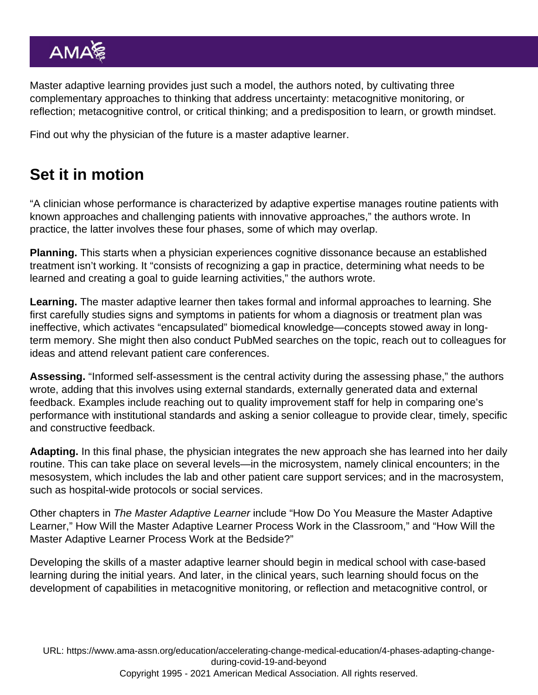Master adaptive learning provides just such a model, the authors noted, by cultivating three complementary approaches to thinking that address uncertainty: metacognitive monitoring, or reflection; metacognitive control, or critical thinking; and a predisposition to learn, or growth mindset.

Find out [why the physician of the future is a master adaptive learner](https://www.ama-assn.org/education/accelerating-change-medical-education/why-physician-future-master-adaptive-learner).

## Set it in motion

"A clinician whose performance is characterized by adaptive expertise manages routine patients with known approaches and challenging patients with innovative approaches," the authors wrote. In practice, the latter involves these four phases, some of which may overlap.

Planning. This starts when a physician experiences cognitive dissonance because an established treatment isn't working. It "consists of recognizing a gap in practice, determining what needs to be learned and creating a goal to guide learning activities," the authors wrote.

Learning. The master adaptive learner then takes formal and informal approaches to learning. She first carefully studies signs and symptoms in patients for whom a diagnosis or treatment plan was ineffective, which activates "encapsulated" biomedical knowledge—concepts stowed away in longterm memory. She might then also conduct PubMed searches on the topic, reach out to colleagues for ideas and attend relevant patient care conferences.

Assessing. "Informed self-assessment is the central activity during the assessing phase," the authors wrote, adding that this involves using external standards, externally generated data and external feedback. Examples include reaching out to quality improvement staff for help in comparing one's performance with institutional standards and asking a senior colleague to provide clear, timely, specific and constructive feedback.

Adapting. In this final phase, the physician integrates the new approach she has learned into her daily routine. This can take place on several levels—in the microsystem, namely clinical encounters; in the mesosystem, which includes the lab and other patient care support services; and in the macrosystem, such as hospital-wide protocols or social services.

Other chapters in The Master Adaptive Learner include "How Do You Measure the Master Adaptive Learner," How Will the Master Adaptive Learner Process Work in the Classroom," and "How Will the Master Adaptive Learner Process Work at the Bedside?"

Developing the skills of a master adaptive learner should begin in medical school with case-based learning during the initial years. And later, in the clinical years, such learning should focus on the development of capabilities in metacognitive monitoring, or reflection and metacognitive control, or

URL: [https://www.ama-assn.org/education/accelerating-change-medical-education/4-phases-adapting-change](https://www.ama-assn.org/education/accelerating-change-medical-education/4-phases-adapting-change-during-covid-19-and-beyond)[during-covid-19-and-beyond](https://www.ama-assn.org/education/accelerating-change-medical-education/4-phases-adapting-change-during-covid-19-and-beyond) Copyright 1995 - 2021 American Medical Association. All rights reserved.